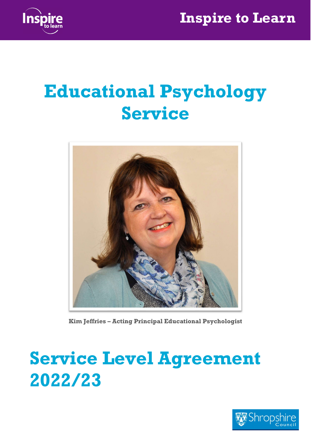

# Educational Psychology Service



Kim Jeffries – Acting Principal Educational Psychologist

# Service Level Agreement 2022/23

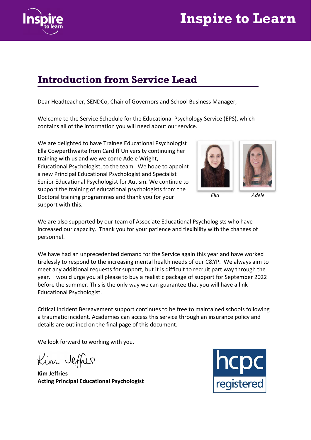

#### Introduction from Service Lead

Dear Headteacher, SENDCo, Chair of Governors and School Business Manager,

Welcome to the Service Schedule for the Educational Psychology Service (EPS), which contains all of the information you will need about our service.

We are delighted to have Trainee Educational Psychologist Ella Cowperthwaite from Cardiff University continuing her training with us and we welcome Adele Wright, Educational Psychologist, to the team. We hope to appoint a new Principal Educational Psychologist and Specialist Senior Educational Psychologist for Autism. We continue to support the training of educational psychologists from the Doctoral training programmes and thank you for your support with this.





Ella Adele

We are also supported by our team of Associate Educational Psychologists who have increased our capacity. Thank you for your patience and flexibility with the changes of personnel.

We have had an unprecedented demand for the Service again this year and have worked tirelessly to respond to the increasing mental health needs of our C&YP. We always aim to meet any additional requests for support, but it is difficult to recruit part way through the year. I would urge you all please to buy a realistic package of support for September 2022 before the summer. This is the only way we can guarantee that you will have a link Educational Psychologist.

Critical Incident Bereavement support continues to be free to maintained schools following a traumatic incident. Academies can access this service through an insurance policy and details are outlined on the final page of this document.

We look forward to working with you.

Kim Jeffres

Kim Jeffries Acting Principal Educational Psychologist

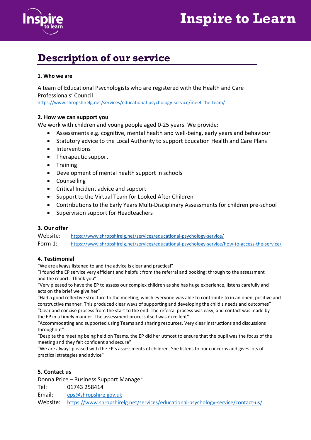

#### Description of our service

#### 1. Who we are

A team of Educational Psychologists who are registered with the Health and Care Professionals' Council https://www.shropshirelg.net/services/educational-psychology-service/meet-the-team/

#### 2. How we can support you

We work with children and young people aged 0-25 years. We provide:

- Assessments e.g. cognitive, mental health and well-being, early years and behaviour
- Statutory advice to the Local Authority to support Education Health and Care Plans
- Interventions
- Therapeutic support
- Training
- Development of mental health support in schools
- Counselling
- Critical Incident advice and support
- Support to the Virtual Team for Looked After Children
- Contributions to the Early Years Multi-Disciplinary Assessments for children pre-school
- Supervision support for Headteachers

#### 3. Our offer

Website: https://www.shropshirelg.net/services/educational-psychology-service/ Form 1: https://www.shropshirelg.net/services/educational-psychology-service/how-to-access-the-service/

#### 4. Testimonial

"We are always listened to and the advice is clear and practical"

"I found the EP service very efficient and helpful: from the referral and booking; through to the assessment and the report. Thank you"

"Very pleased to have the EP to assess our complex children as she has huge experience, listens carefully and acts on the brief we give her"

"Had a good reflective structure to the meeting, which everyone was able to contribute to in an open, positive and constructive manner. This produced clear ways of supporting and developing the child's needs and outcomes" "Clear and concise process from the start to the end. The referral process was easy, and contact was made by the EP in a timely manner. The assessment process itself was excellent"

"Accommodating and supported using Teams and sharing resources. Very clear instructions and discussions throughout"

"Despite the meeting being held on Teams, the EP did her utmost to ensure that the pupil was the focus of the meeting and they felt confident and secure"

"We are always pleased with the EP's assessments of children. She listens to our concerns and gives lots of practical strategies and advice"

#### 5. Contact us

Donna Price – Business Support Manager

Tel: 01743 258414

Email: eps@shropshire.gov.uk

Website: https://www.shropshirelg.net/services/educational-psychology-service/contact-us/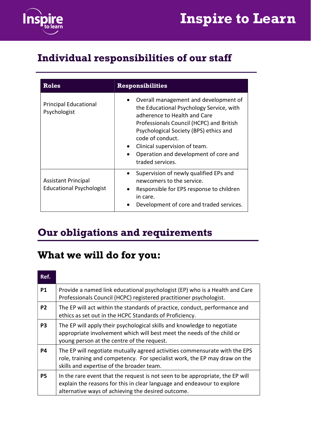

### Individual responsibilities of our staff

| <b>Roles</b>                                                  | <b>Responsibilities</b>                                                                                                                                                                                                                                                                                                                |  |
|---------------------------------------------------------------|----------------------------------------------------------------------------------------------------------------------------------------------------------------------------------------------------------------------------------------------------------------------------------------------------------------------------------------|--|
| <b>Principal Educational</b><br>Psychologist                  | Overall management and development of<br>the Educational Psychology Service, with<br>adherence to Health and Care<br>Professionals Council (HCPC) and British<br>Psychological Society (BPS) ethics and<br>code of conduct.<br>Clinical supervision of team.<br>$\bullet$<br>Operation and development of core and<br>traded services. |  |
| <b>Assistant Principal</b><br><b>Educational Psychologist</b> | Supervision of newly qualified EPs and<br>$\bullet$<br>newcomers to the service.<br>Responsible for EPS response to children<br>in care.<br>Development of core and traded services.                                                                                                                                                   |  |

### Our obligations and requirements

#### What we will do for you:

| Ref.           |                                                                                                                                                                                                                |
|----------------|----------------------------------------------------------------------------------------------------------------------------------------------------------------------------------------------------------------|
| <b>P1</b>      | Provide a named link educational psychologist (EP) who is a Health and Care<br>Professionals Council (HCPC) registered practitioner psychologist.                                                              |
| P <sub>2</sub> | The EP will act within the standards of practice, conduct, performance and<br>ethics as set out in the HCPC Standards of Proficiency.                                                                          |
| P <sub>3</sub> | The EP will apply their psychological skills and knowledge to negotiate<br>appropriate involvement which will best meet the needs of the child or<br>young person at the centre of the request.                |
| P4             | The EP will negotiate mutually agreed activities commensurate with the EPS<br>role, training and competency. For specialist work, the EP may draw on the<br>skills and expertise of the broader team.          |
| <b>P5</b>      | In the rare event that the request is not seen to be appropriate, the EP will<br>explain the reasons for this in clear language and endeavour to explore<br>alternative ways of achieving the desired outcome. |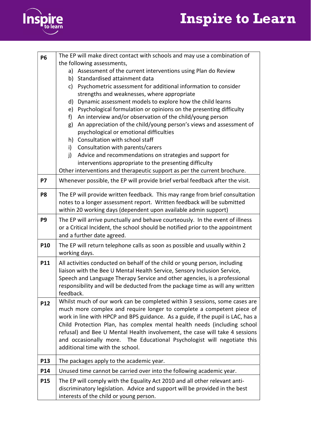

| <b>P6</b>       | The EP will make direct contact with schools and may use a combination of                                                                                                                                                                                                                                                                                                                                                                                                                                        |  |  |
|-----------------|------------------------------------------------------------------------------------------------------------------------------------------------------------------------------------------------------------------------------------------------------------------------------------------------------------------------------------------------------------------------------------------------------------------------------------------------------------------------------------------------------------------|--|--|
|                 | the following assessments,                                                                                                                                                                                                                                                                                                                                                                                                                                                                                       |  |  |
|                 | a) Assessment of the current interventions using Plan do Review                                                                                                                                                                                                                                                                                                                                                                                                                                                  |  |  |
|                 | b) Standardised attainment data                                                                                                                                                                                                                                                                                                                                                                                                                                                                                  |  |  |
|                 | Psychometric assessment for additional information to consider<br>c)                                                                                                                                                                                                                                                                                                                                                                                                                                             |  |  |
|                 | strengths and weaknesses, where appropriate<br>d) Dynamic assessment models to explore how the child learns                                                                                                                                                                                                                                                                                                                                                                                                      |  |  |
|                 | e) Psychological formulation or opinions on the presenting difficulty                                                                                                                                                                                                                                                                                                                                                                                                                                            |  |  |
|                 | An interview and/or observation of the child/young person<br>f                                                                                                                                                                                                                                                                                                                                                                                                                                                   |  |  |
|                 | An appreciation of the child/young person's views and assessment of<br>g)                                                                                                                                                                                                                                                                                                                                                                                                                                        |  |  |
|                 | psychological or emotional difficulties                                                                                                                                                                                                                                                                                                                                                                                                                                                                          |  |  |
|                 | h) Consultation with school staff                                                                                                                                                                                                                                                                                                                                                                                                                                                                                |  |  |
|                 | Consultation with parents/carers<br>i)                                                                                                                                                                                                                                                                                                                                                                                                                                                                           |  |  |
|                 | Advice and recommendations on strategies and support for<br>j)                                                                                                                                                                                                                                                                                                                                                                                                                                                   |  |  |
|                 | interventions appropriate to the presenting difficulty                                                                                                                                                                                                                                                                                                                                                                                                                                                           |  |  |
|                 | Other interventions and therapeutic support as per the current brochure.                                                                                                                                                                                                                                                                                                                                                                                                                                         |  |  |
| <b>P7</b>       | Whenever possible, the EP will provide brief verbal feedback after the visit.                                                                                                                                                                                                                                                                                                                                                                                                                                    |  |  |
| P <sub>8</sub>  | The EP will provide written feedback. This may range from brief consultation<br>notes to a longer assessment report. Written feedback will be submitted<br>within 20 working days (dependent upon available admin support)                                                                                                                                                                                                                                                                                       |  |  |
| P <sub>9</sub>  | The EP will arrive punctually and behave courteously. In the event of illness                                                                                                                                                                                                                                                                                                                                                                                                                                    |  |  |
|                 | or a Critical Incident, the school should be notified prior to the appointment<br>and a further date agreed.                                                                                                                                                                                                                                                                                                                                                                                                     |  |  |
| P10             | The EP will return telephone calls as soon as possible and usually within 2<br>working days.                                                                                                                                                                                                                                                                                                                                                                                                                     |  |  |
| <b>P11</b>      | All activities conducted on behalf of the child or young person, including<br>liaison with the Bee U Mental Health Service, Sensory Inclusion Service,<br>Speech and Language Therapy Service and other agencies, is a professional<br>responsibility and will be deducted from the package time as will any written<br>feedback.                                                                                                                                                                                |  |  |
| P12             | Whilst much of our work can be completed within 3 sessions, some cases are<br>much more complex and require longer to complete a competent piece of<br>work in line with HPCP and BPS guidance. As a guide, if the pupil is LAC, has a<br>Child Protection Plan, has complex mental health needs (including school<br>refusal) and Bee U Mental Health involvement, the case will take 4 sessions<br>and occasionally more. The Educational Psychologist will negotiate this<br>additional time with the school. |  |  |
| P <sub>13</sub> | The packages apply to the academic year.                                                                                                                                                                                                                                                                                                                                                                                                                                                                         |  |  |
| P14             | Unused time cannot be carried over into the following academic year.                                                                                                                                                                                                                                                                                                                                                                                                                                             |  |  |
| <b>P15</b>      | The EP will comply with the Equality Act 2010 and all other relevant anti-<br>discriminatory legislation. Advice and support will be provided in the best<br>interests of the child or young person.                                                                                                                                                                                                                                                                                                             |  |  |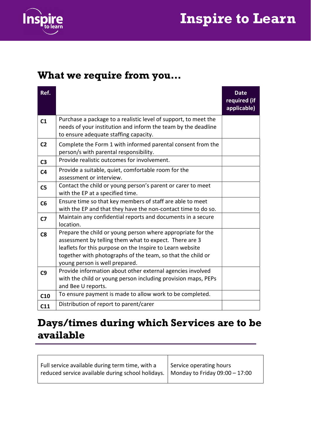

#### What we require from you…

| Ref.           |                                                                                                                                                                                                                                                                                     | <b>Date</b><br>required (if<br>applicable) |
|----------------|-------------------------------------------------------------------------------------------------------------------------------------------------------------------------------------------------------------------------------------------------------------------------------------|--------------------------------------------|
| C <sub>1</sub> | Purchase a package to a realistic level of support, to meet the<br>needs of your institution and inform the team by the deadline<br>to ensure adequate staffing capacity.                                                                                                           |                                            |
| C <sub>2</sub> | Complete the Form 1 with informed parental consent from the<br>person/s with parental responsibility.                                                                                                                                                                               |                                            |
| C <sub>3</sub> | Provide realistic outcomes for involvement.                                                                                                                                                                                                                                         |                                            |
| C <sub>4</sub> | Provide a suitable, quiet, comfortable room for the<br>assessment or interview.                                                                                                                                                                                                     |                                            |
| C <sub>5</sub> | Contact the child or young person's parent or carer to meet<br>with the EP at a specified time.                                                                                                                                                                                     |                                            |
| C6             | Ensure time so that key members of staff are able to meet<br>with the EP and that they have the non-contact time to do so.                                                                                                                                                          |                                            |
| C <sub>7</sub> | Maintain any confidential reports and documents in a secure<br>location.                                                                                                                                                                                                            |                                            |
| C8             | Prepare the child or young person where appropriate for the<br>assessment by telling them what to expect. There are 3<br>leaflets for this purpose on the Inspire to Learn website<br>together with photographs of the team, so that the child or<br>young person is well prepared. |                                            |
| C9             | Provide information about other external agencies involved<br>with the child or young person including provision maps, PEPs<br>and Bee U reports.                                                                                                                                   |                                            |
| C10            | To ensure payment is made to allow work to be completed.                                                                                                                                                                                                                            |                                            |
| C11            | Distribution of report to parent/carer                                                                                                                                                                                                                                              |                                            |

### Days/times during which Services are to be available

| Full service available during term time, with a                                    | Service operating hours |
|------------------------------------------------------------------------------------|-------------------------|
| reduced service available during school holidays.   Monday to Friday 09:00 - 17:00 |                         |
|                                                                                    |                         |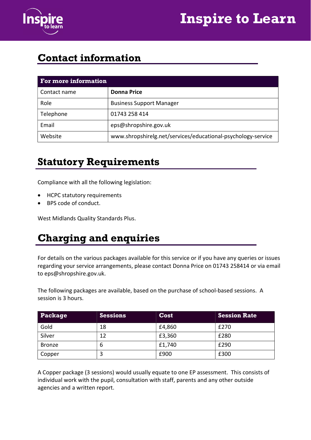



#### Contact information

| For more information |                                                              |  |
|----------------------|--------------------------------------------------------------|--|
| Contact name         | Donna Price                                                  |  |
| Role                 | <b>Business Support Manager</b>                              |  |
| Telephone            | 01743 258 414                                                |  |
| Email                | eps@shropshire.gov.uk                                        |  |
| Website              | www.shropshirelg.net/services/educational-psychology-service |  |

#### Statutory Requirements

Compliance with all the following legislation:

- HCPC statutory requirements
- BPS code of conduct.

West Midlands Quality Standards Plus.

### Charging and enquiries

For details on the various packages available for this service or if you have any queries or issues regarding your service arrangements, please contact Donna Price on 01743 258414 or via email to eps@shropshire.gov.uk.

The following packages are available, based on the purchase of school-based sessions. A session is 3 hours.

| Package       | <b>Sessions</b> | Cost   | <b>Session Rate</b> |
|---------------|-----------------|--------|---------------------|
| Gold          | 18              | £4,860 | £270                |
| Silver        | 12              | £3,360 | £280                |
| <b>Bronze</b> | b               | £1,740 | £290                |
| Copper        |                 | £900   | £300                |

A Copper package (3 sessions) would usually equate to one EP assessment. This consists of individual work with the pupil, consultation with staff, parents and any other outside agencies and a written report.